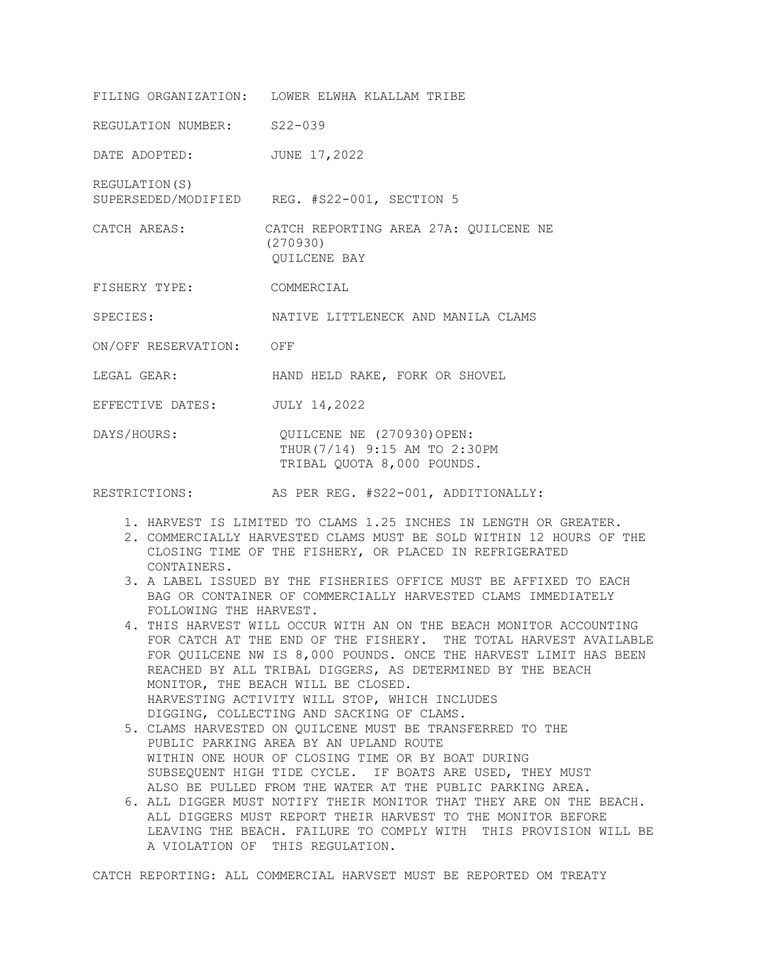FILING ORGANIZATION: LOWER ELWHA KLALLAM TRIBE REGULATION NUMBER: S22-039 DATE ADOPTED: JUNE 17, 2022 REGULATION(S) SUPERSEDED/MODIFIED REG. #S22-001, SECTION 5 CATCH AREAS: CATCH REPORTING AREA 27A: QUILCENE NE (270930) QUILCENE BAY FISHERY TYPE: COMMERCIAL SPECIES: NATIVE LITTLENECK AND MANILA CLAMS ON/OFF RESERVATION: OFF LEGAL GEAR: HAND HELD RAKE, FORK OR SHOVEL EFFECTIVE DATES: JULY 14,2022 DAYS/HOURS: QUILCENE NE (270930) OPEN: THUR(7/14) 9:15 AM TO 2:30PM TRIBAL QUOTA 8,000 POUNDS.

RESTRICTIONS: AS PER REG. #S22-001, ADDITIONALLY:

- 1. HARVEST IS LIMITED TO CLAMS 1.25 INCHES IN LENGTH OR GREATER.
- 2. COMMERCIALLY HARVESTED CLAMS MUST BE SOLD WITHIN 12 HOURS OF THE CLOSING TIME OF THE FISHERY, OR PLACED IN REFRIGERATED CONTAINERS.
- 3. A LABEL ISSUED BY THE FISHERIES OFFICE MUST BE AFFIXED TO EACH BAG OR CONTAINER OF COMMERCIALLY HARVESTED CLAMS IMMEDIATELY FOLLOWING THE HARVEST.
- 4. THIS HARVEST WILL OCCUR WITH AN ON THE BEACH MONITOR ACCOUNTING FOR CATCH AT THE END OF THE FISHERY. THE TOTAL HARVEST AVAILABLE FOR QUILCENE NW IS 8,000 POUNDS. ONCE THE HARVEST LIMIT HAS BEEN REACHED BY ALL TRIBAL DIGGERS, AS DETERMINED BY THE BEACH MONITOR, THE BEACH WILL BE CLOSED. HARVESTING ACTIVITY WILL STOP, WHICH INCLUDES DIGGING, COLLECTING AND SACKING OF CLAMS.
- 5. CLAMS HARVESTED ON QUILCENE MUST BE TRANSFERRED TO THE PUBLIC PARKING AREA BY AN UPLAND ROUTE WITHIN ONE HOUR OF CLOSING TIME OR BY BOAT DURING SUBSEQUENT HIGH TIDE CYCLE. IF BOATS ARE USED, THEY MUST ALSO BE PULLED FROM THE WATER AT THE PUBLIC PARKING AREA.
- 6. ALL DIGGER MUST NOTIFY THEIR MONITOR THAT THEY ARE ON THE BEACH. ALL DIGGERS MUST REPORT THEIR HARVEST TO THE MONITOR BEFORE LEAVING THE BEACH. FAILURE TO COMPLY WITH THIS PROVISION WILL BE A VIOLATION OF THIS REGULATION.

CATCH REPORTING: ALL COMMERCIAL HARVSET MUST BE REPORTED OM TREATY